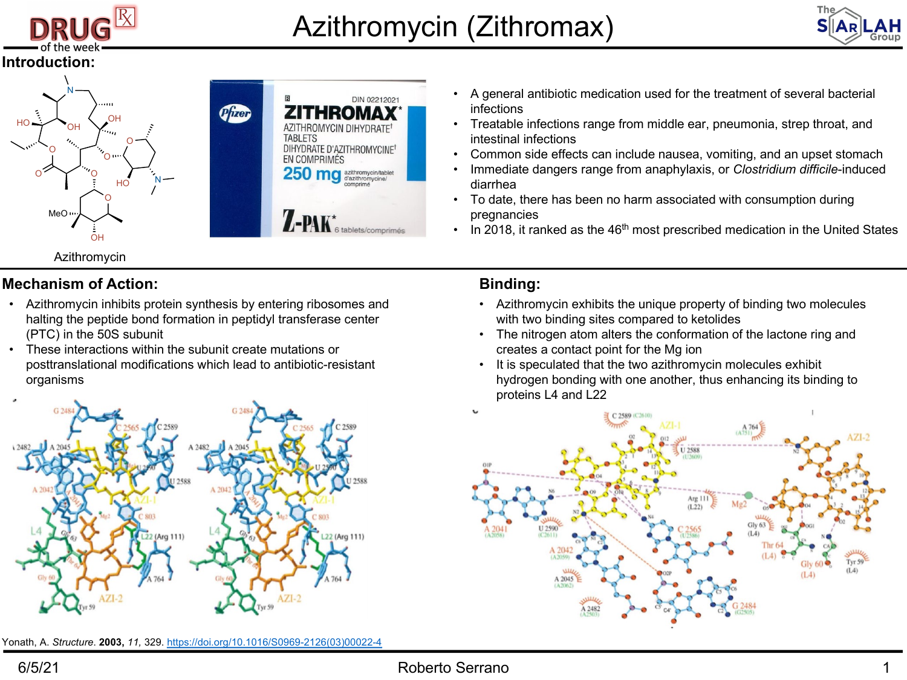

## **Mechanism of Action:**

- Azithromycin inhibits protein synthesis by entering ribosomes and halting the peptide bond f[ormation in peptidyl transferase center](https://doi.org/10.1016/S0969-2126(03)00022-4)  (PTC) in the 50S subunit
- These interactions within the subunit create mutations or posttranslational modifications which lead to antibiotic-resistant organisms



Yonath, A. *Structure*. **2003,** *11,* 329. https://doi.org/10.1016/S0969-2126(03)00022-4

## **Binding:**

- Azithromycin exhibits the unique property of bindi with two binding sites compared to ketolides
- The nitrogen atom alters the conformation of the I creates a contact point for the Mg ion
- It is speculated that the two azithromycin molecule hydrogen bonding with one another, thus enhanci proteins L4 and L22

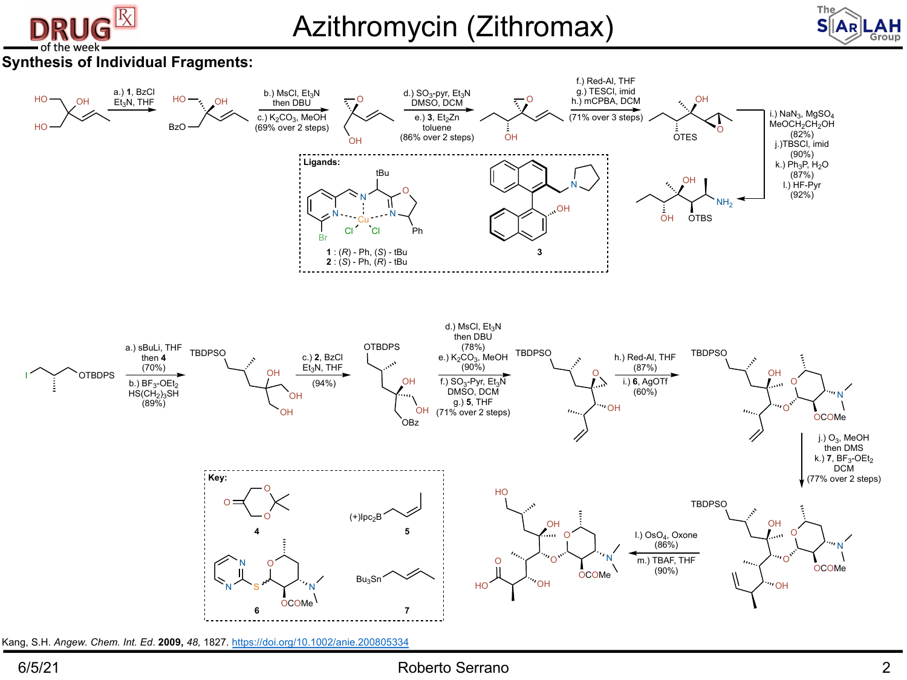

## Azithromycin (Zithromax)

**Synthesis of Individual Fragments:**



Kang, S.H. *Angew. Chem. Int. Ed*. **2009,** *48,* 1827. https://doi.org/10.1002/anie.200805334

## 6/5/21 Roberto Serrano 2